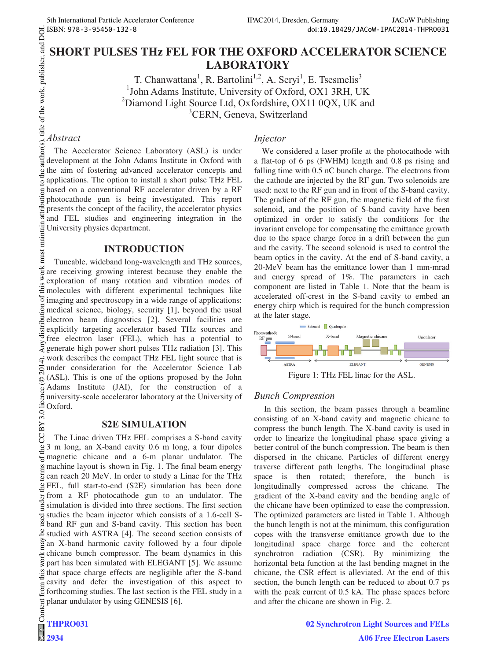# **SHORT PULSES THz FEL FOR THE OXFORD ACCELERATOR SCIENCE LABORATORY**

T. Chanwattana<sup>1</sup>, R. Bartolini<sup>1,2</sup>, A. Seryi<sup>1</sup>, E. Tsesmelis<sup>3</sup>  $^1$ John Adams Institute, University of Oxford, OX1 3RH, UK  ${}^{2}$ Diamond Light Source Ltd, Oxfordshire, OX11 0QX, UK and <sup>3</sup>CERN, Geneva, Switzerland

#### *Abstract*

The Accelerator Science Laboratory (ASL) is under development at the John Adams Institute in Oxford with the aim of fostering advanced accelerator concepts and applications. The option to install a short pulse THz FEL based on a conventional RF accelerator driven by a RF photocathode gun is being investigated. This report presents the concept of the facility, the accelerator physics and FEL studies and engineering integration in the University physics department.

### **INTRODUCTION**

Tuneable, wideband long-wavelength and THz sources, are receiving growing interest because they enable the exploration of many rotation and vibration modes of  $\frac{2}{3}$  molecules with different experimental techniques like  $\overline{5}$  imaging and spectroscopy in a wide range of applications: ġ medical science, biology, security [1], beyond the usual electron beam diagnostics [2]. Several facilities are explicitly targeting accelerator based THz sources and free electron laser (FEL), which has a potential to generate high power short pulses THz radiation [3]. This work describes the compact THz FEL light source that is  $\dot{=}$ under consideration for the Accelerator Science Lab ន្ត (ASL). This is one of the options proposed by the John ©Adams Institute (JAI), for the construction of a licence university-scale accelerator laboratory at the University of Oxford. BY 3.0

### **62E SIMULATION**

Content from this work may be used under the terms of the CC BY 3.0 licence ( $\epsilon$ g The Linac driven THz FEL comprises a S-band cavity 3 m long, an X-band cavity 0.6 m long, a four dipoles magnetic chicane and a 6-m planar undulator. The machine layout is shown in Fig. 1. The final beam energy can reach 20 MeV. In order to study a Linac for the THz FEL, full start-to-end (S2E) simulation has been done from a RF photocathode gun to an undulator. The đ  $\Xi$  simulation is divided into three sections. The first section studies the beam injector which consists of a 1.6-cell Sband RF gun and S-band cavity. This section has been studied with ASTRA [4]. The second section consists of an X-band harmonic cavity followed by a four dipole chicane bunch compressor. The beam dynamics in this part has been simulated with ELEGANT [5]. We assume that space charge effects are negligible after the S-band cavity and defer the investigation of this aspect to from forthcoming studies. The last section is the FEL study in a planar undulator by using GENESIS [6].  $\overline{a}$ 

## *Injector*

We considered a laser profile at the photocathode with a flat-top of 6 ps (FWHM) length and 0.8 ps rising and falling time with 0.5 nC bunch charge. The electrons from the cathode are injected by the RF gun. Two solenoids are used: next to the RF gun and in front of the S-band cavity. The gradient of the RF gun, the magnetic field of the first solenoid, and the position of S-band cavity have been optimized in order to satisfy the conditions for the invariant envelope for compensating the emittance growth due to the space charge force in a drift between the gun and the cavity. The second solenoid is used to control the beam optics in the cavity. At the end of S-band cavity, a 20-MeV beam has the emittance lower than 1 mm-mrad and energy spread of 1%. The parameters in each component are listed in Table 1. Note that the beam is accelerated off-crest in the S-band cavity to embed an energy chirp which is required for the bunch compression at the later stage.



Figure 1: THz FEL linac for the ASL.

### *Bunch Compression*

In this section, the beam passes through a beamline consisting of an X-band cavity and magnetic chicane to compress the bunch length. The X-band cavity is used in order to linearize the longitudinal phase space giving a better control of the bunch compression. The beam is then dispersed in the chicane. Particles of different energy traverse different path lengths. The longitudinal phase space is then rotated; therefore, the bunch is longitudinally compressed across the chicane. The gradient of the X-band cavity and the bending angle of the chicane have been optimized to ease the compression. The optimized parameters are listed in Table 1. Although the bunch length is not at the minimum, this configuration copes with the transverse emittance growth due to the longitudinal space charge force and the coherent synchrotron radiation (CSR). By minimizing the horizontal beta function at the last bending magnet in the chicane, the CSR effect is alleviated. At the end of this section, the bunch length can be reduced to about 0.7 ps with the peak current of 0.5 kA. The phase spaces before and after the chicane are shown in Fig. 2.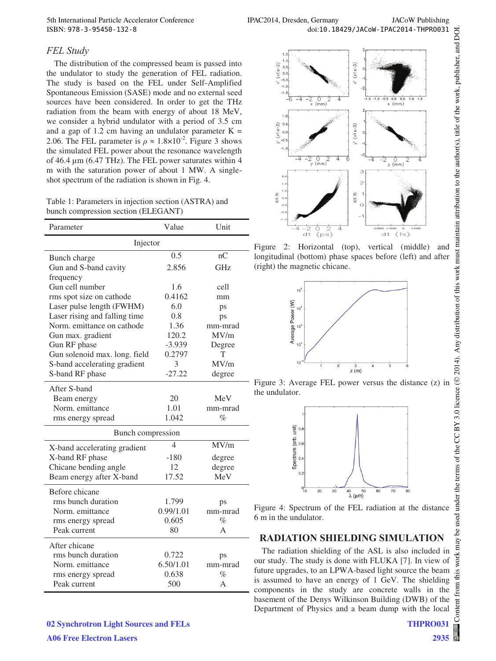#### *FEL Study*

The distribution of the compressed beam is passed into the undulator to study the generation of FEL radiation. The study is based on the FEL under Self-Amplified Spontaneous Emission (SASE) mode and no external seed sources have been considered. In order to get the THz radiation from the beam with energy of about 18 MeV, we consider a hybrid undulator with a period of 3.5 cm and a gap of 1.2 cm having an undulator parameter  $K =$ 2.06. The FEL parameter is  $\rho \approx 1.8 \times 10^{-2}$ . Figure 3 shows the simulated FEL power about the resonance wavelength of 46.4 μm (6.47 THz). The FEL power saturates within 4 m with the saturation power of about 1 MW. A singleshot spectrum of the radiation is shown in Fig. 4.

Table 1: Parameters in injection section (ASTRA) and bunch compression section (ELEGANT)

| Parameter                     | Value            | Unit       |
|-------------------------------|------------------|------------|
| Injector                      |                  |            |
| Bunch charge                  | $\overline{0.5}$ | nC         |
| Gun and S-band cavity         | 2.856            | <b>GHz</b> |
| frequency                     |                  |            |
| Gun cell number               | 1.6              | cell       |
| rms spot size on cathode      | 0.4162           | mm         |
| Laser pulse length (FWHM)     | 6.0              | ps         |
| Laser rising and falling time | 0.8              | ps         |
| Norm. emittance on cathode    | 1.36             | mm-mrad    |
| Gun max. gradient             | 120.2            | MV/m       |
| Gun RF phase                  | $-3.939$         | Degree     |
| Gun solenoid max. long. field | 0.2797           | T          |
| S-band accelerating gradient  | 3                | MV/m       |
| S-band RF phase               | $-27.22$         | degree     |
| After S-band                  |                  |            |
| Beam energy                   | 20               | MeV        |
| Norm, emittance               | 1.01             | mm-mrad    |
| rms energy spread             | 1.042            | $\%$       |
| Bunch compression             |                  |            |
| X-band accelerating gradient  | $\overline{4}$   | MV/m       |
| X-band RF phase               | $-180$           | degree     |
| Chicane bending angle         | 12               | degree     |
| Beam energy after X-band      | 17.52            | MeV        |
| Before chicane                |                  |            |
| rms bunch duration            | 1.799            | ps         |
| Norm. emittance               | 0.99/1.01        | mm-mrad    |
| rms energy spread             | 0.605            | %          |
| Peak current                  | 80               | A          |
| After chicane                 |                  |            |
| rms bunch duration            | 0.722            | ps         |
| Norm, emittance               | 6.50/1.01        | mm-mrad    |
| rms energy spread             | 0.638            | $\%$       |
| Peak current                  | 500              | А          |



Figure 2: Horizontal (top), vertical (middle) and longitudinal (bottom) phase spaces before (left) and after (right) the magnetic chicane.



Figure 3: Average FEL power versus the distance (z) in the undulator.



Figure 4: Spectrum of the FEL radiation at the distance 6 m in the undulator.

### **FADIATION SHIELDING SIMULATION**

The radiation shielding of the ASL is also included in our study. The study is done with FLUKA [7]. In view of future upgrades, to an LPWA-based light source the beam is assumed to have an energy of 1 GeV. The shielding components in the study are concrete walls in the basement of the Denys Wilkinson Building (DWB) of the Department of Physics and a beam dump with the local